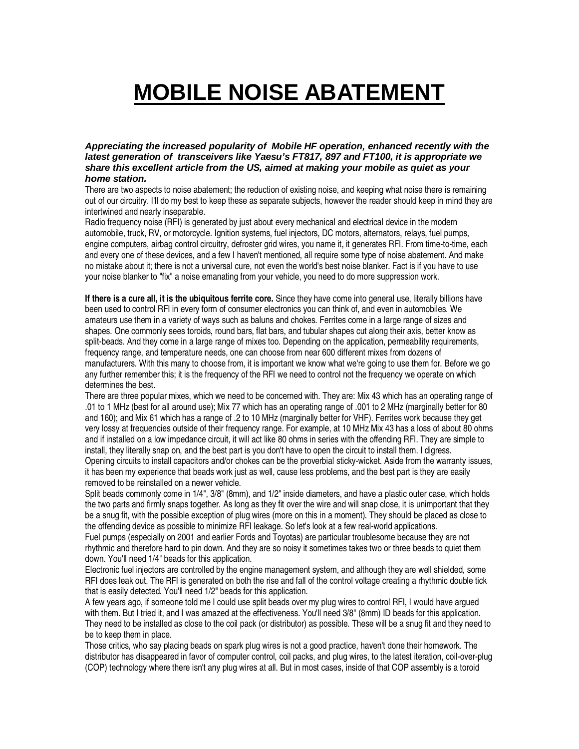## **MOBILE NOISE ABATEMENT**

**Appreciating the increased popularity of Mobile HF operation, enhanced recently with the latest generation of transceivers like Yaesu's FT817, 897 and FT100, it is appropriate we share this excellent article from the US, aimed at making your mobile as quiet as your home station.** 

There are two aspects to noise abatement; the reduction of existing noise, and keeping what noise there is remaining out of our circuitry. I'll do my best to keep these as separate subjects, however the reader should keep in mind they are intertwined and nearly inseparable.

Radio frequency noise (RFI) is generated by just about every mechanical and electrical device in the modern automobile, truck, RV, or motorcycle. Ignition systems, fuel injectors, DC motors, alternators, relays, fuel pumps, engine computers, airbag control circuitry, defroster grid wires, you name it, it generates RFI. From time-to-time, each and every one of these devices, and a few I haven't mentioned, all require some type of noise abatement. And make no mistake about it; there is not a universal cure, not even the world's best noise blanker. Fact is if you have to use your noise blanker to "fix" a noise emanating from your vehicle, you need to do more suppression work.

**If there is a cure all, it is the ubiquitous ferrite core.** Since they have come into general use, literally billions have been used to control RFI in every form of consumer electronics you can think of, and even in automobiles. We amateurs use them in a variety of ways such as baluns and chokes. Ferrites come in a large range of sizes and shapes. One commonly sees toroids, round bars, flat bars, and tubular shapes cut along their axis, better know as split-beads. And they come in a large range of mixes too. Depending on the application, permeability requirements, frequency range, and temperature needs, one can choose from near 600 different mixes from dozens of manufacturers. With this many to choose from, it is important we know what we're going to use them for. Before we go any further remember this; it is the frequency of the RFI we need to control not the frequency we operate on which determines the best.

There are three popular mixes, which we need to be concerned with. They are: Mix 43 which has an operating range of .01 to 1 MHz (best for all around use); Mix 77 which has an operating range of .001 to 2 MHz (marginally better for 80 and 160); and Mix 61 which has a range of .2 to 10 MHz (marginally better for VHF). Ferrites work because they get very lossy at frequencies outside of their frequency range. For example, at 10 MHz Mix 43 has a loss of about 80 ohms and if installed on a low impedance circuit, it will act like 80 ohms in series with the offending RFI. They are simple to install, they literally snap on, and the best part is you don't have to open the circuit to install them. I digress. Opening circuits to install capacitors and/or chokes can be the proverbial sticky-wicket. Aside from the warranty issues, it has been my experience that beads work just as well, cause less problems, and the best part is they are easily removed to be reinstalled on a newer vehicle.

Split beads commonly come in 1/4", 3/8" (8mm), and 1/2" inside diameters, and have a plastic outer case, which holds the two parts and firmly snaps together. As long as they fit over the wire and will snap close, it is unimportant that they be a snug fit, with the possible exception of plug wires (more on this in a moment). They should be placed as close to the offending device as possible to minimize RFI leakage. So let's look at a few real-world applications.

Fuel pumps (especially on 2001 and earlier Fords and Toyotas) are particular troublesome because they are not rhythmic and therefore hard to pin down. And they are so noisy it sometimes takes two or three beads to quiet them down. You'll need 1/4" beads for this application.

Electronic fuel injectors are controlled by the engine management system, and although they are well shielded, some RFI does leak out. The RFI is generated on both the rise and fall of the control voltage creating a rhythmic double tick that is easily detected. You'll need 1/2" beads for this application.

A few years ago, if someone told me I could use split beads over my plug wires to control RFI, I would have argued with them. But I tried it, and I was amazed at the effectiveness. You'll need 3/8" (8mm) ID beads for this application. They need to be installed as close to the coil pack (or distributor) as possible. These will be a snug fit and they need to be to keep them in place.

Those critics, who say placing beads on spark plug wires is not a good practice, haven't done their homework. The distributor has disappeared in favor of computer control, coil packs, and plug wires, to the latest iteration, coil-over-plug (COP) technology where there isn't any plug wires at all. But in most cases, inside of that COP assembly is a toroid